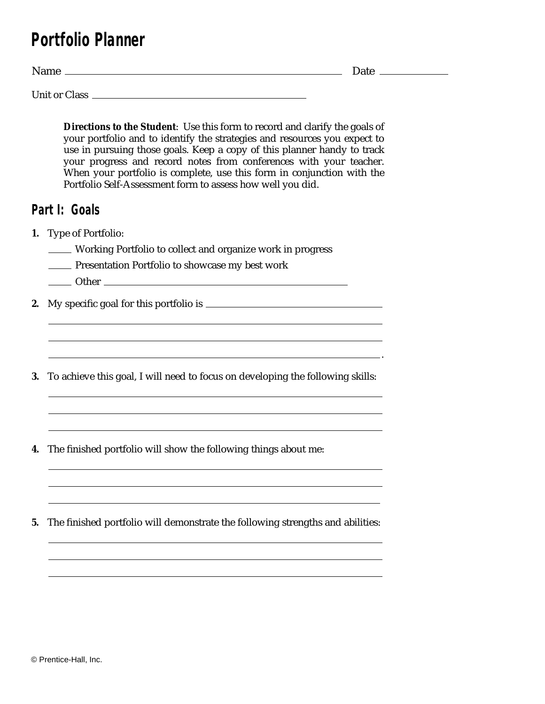## **Portfolio Planner**

Name Date Date Discourse and Date Date Date Date Date Discount of the Date Date Discount of the Date Discount of the Discount of the Discount of the Discount of the Discount of the Discount of the Discount of the Discount

Unit or Class

**Directions to the Student**: Use this form to record and clarify the goals of your portfolio and to identify the strategies and resources you expect to use in pursuing those goals. Keep a copy of this planner handy to track your progress and record notes from conferences with your teacher. When your portfolio is complete, use this form in conjunction with the Portfolio Self-Assessment form to assess how well you did.

## **Part I: Goals**

- **1.** Type of Portfolio:
	- Working Portfolio to collect and organize work in progress
	- **EXECUTE:** Presentation Portfolio to showcase my best work
	- Other **Communist Communist Communist Communist Communist Communist Communist Communist Communist Communist Communist Communist Communist Communist Communist Communist Communist Communist Communist Communist Communist Commu**

**2.** My specific goal for this portfolio is

**3.** To achieve this goal, I will need to focus on developing the following skills:

**4.** The finished portfolio will show the following things about me:

**5.** The finished portfolio will demonstrate the following strengths and abilities:

.